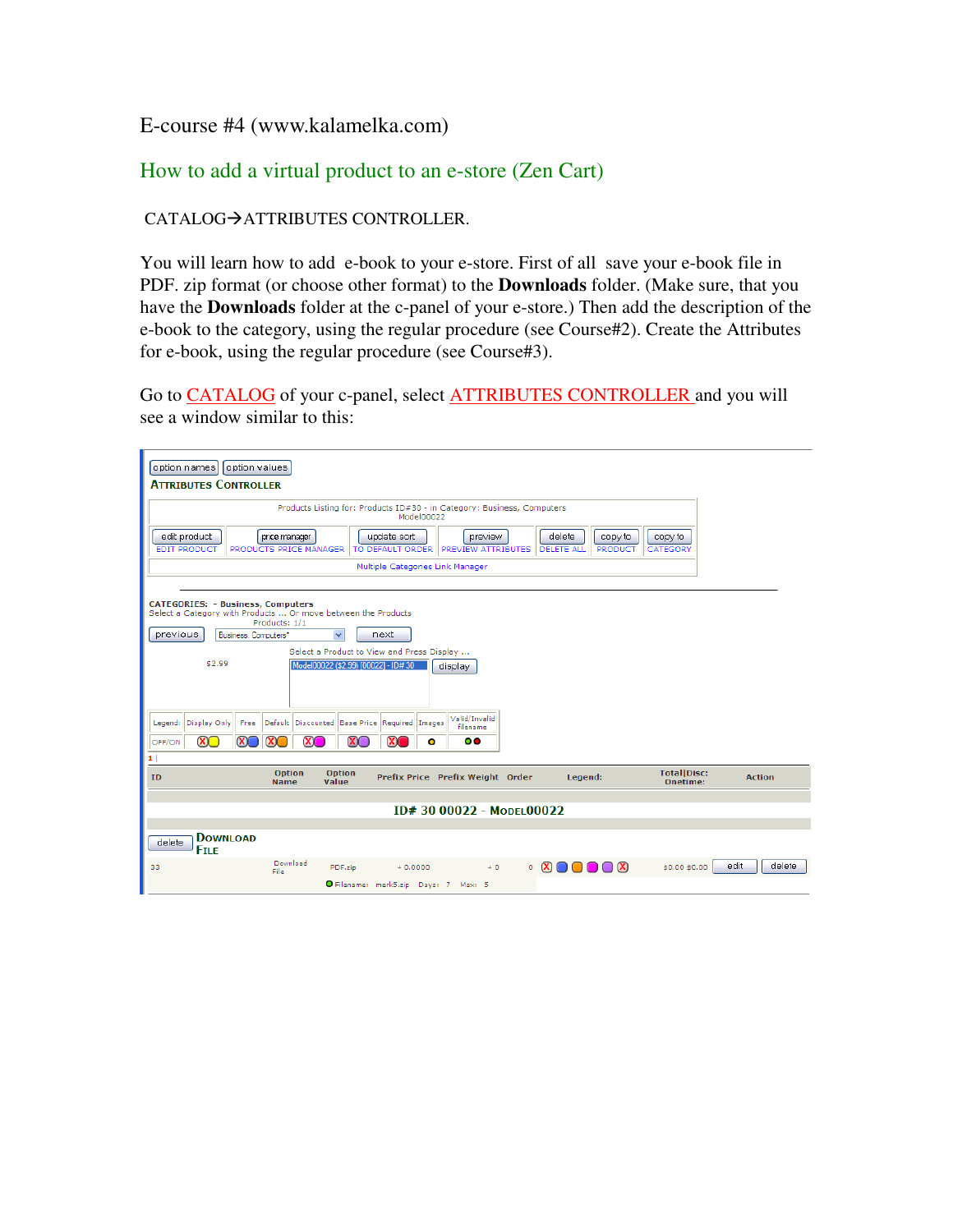## E-course #4 (www.kalamelka.com)

## How to add a virtual product to an e-store (Zen Cart)

## CATALOG->ATTRIBUTES CONTROLLER.

You will learn how to add e-book to your e-store. First of all save your e-book file in PDF. zip format (or choose other format) to the **Downloads** folder. (Make sure, that you have the **Downloads** folder at the c-panel of your e-store.) Then add the description of the e-book to the category, using the regular procedure (see Course#2). Create the Attributes for e-book, using the regular procedure (see Course#3).

Go to CATALOG of your c-panel, select ATTRIBUTES CONTROLLER and you will see a window similar to this:

|                                                                                                                                                                                                                                    | option names<br><b>ATTRIBUTES CONTROLLER</b>                                          |          | option values                |                                                     |                   |                         |   |                                    |      |                                                                 |  |                                       |      |               |
|------------------------------------------------------------------------------------------------------------------------------------------------------------------------------------------------------------------------------------|---------------------------------------------------------------------------------------|----------|------------------------------|-----------------------------------------------------|-------------------|-------------------------|---|------------------------------------|------|-----------------------------------------------------------------|--|---------------------------------------|------|---------------|
|                                                                                                                                                                                                                                    | Products Listing for: Products ID#30 - in Category: Business, Computers<br>Model00022 |          |                              |                                                     |                   |                         |   |                                    |      |                                                                 |  |                                       |      |               |
| delete<br>edit product<br>preview<br>price manager<br>update sort<br>copy to<br>copy to<br><b>EDIT PRODUCT</b><br>PRODUCTS PRICE MANAGER<br>TO DEFAULT ORDER PREVIEW ATTRIBUTES<br><b>PRODUCT</b><br><b>DELETE ALL</b><br>CATEGORY |                                                                                       |          |                              |                                                     |                   |                         |   |                                    |      |                                                                 |  |                                       |      |               |
| Multiple Categories Link Manager                                                                                                                                                                                                   |                                                                                       |          |                              |                                                     |                   |                         |   |                                    |      |                                                                 |  |                                       |      |               |
| <b>CATEGORIES: - Business, Computers</b><br>Select a Category with Products  Or move between the Products<br>Products: 1/1<br>$\checkmark$<br>Business, Computers*<br>next<br>previous                                             |                                                                                       |          |                              |                                                     |                   |                         |   |                                    |      |                                                                 |  |                                       |      |               |
| Select a Product to View and Press Display<br>\$2.99<br>Model00022 (\$2.99) [00022] - ID# 30<br>display                                                                                                                            |                                                                                       |          |                              |                                                     |                   |                         |   |                                    |      |                                                                 |  |                                       |      |               |
|                                                                                                                                                                                                                                    |                                                                                       |          |                              |                                                     |                   |                         |   |                                    |      |                                                                 |  |                                       |      |               |
| Legend:                                                                                                                                                                                                                            | Display Only                                                                          | Free     |                              | Default Discounted   Base Price   Required   Images |                   |                         |   | Valid/Invalid<br>filename          |      |                                                                 |  |                                       |      |               |
| OFF/ON                                                                                                                                                                                                                             | $\mathbf{X}$                                                                          | $\infty$ | $\mathbf{X}$                 | $\infty$                                            | $\mathbf{X} \cap$ | $\overline{\mathbf{x}}$ | 0 | $\circ$                            |      |                                                                 |  |                                       |      |               |
| 1 <br>ID                                                                                                                                                                                                                           |                                                                                       |          | <b>Option</b><br><b>Name</b> | Value                                               | <b>Option</b>     |                         |   | Prefix Price Prefix Weight Order   |      | Legend:                                                         |  | <b>TotallDisc:</b><br><b>Onetime:</b> |      | <b>Action</b> |
| $ID#3000022 - Monri00022$                                                                                                                                                                                                          |                                                                                       |          |                              |                                                     |                   |                         |   |                                    |      |                                                                 |  |                                       |      |               |
|                                                                                                                                                                                                                                    |                                                                                       |          |                              |                                                     |                   |                         |   |                                    |      |                                                                 |  |                                       |      |               |
| delete                                                                                                                                                                                                                             | <b>DOWNLOAD</b><br><b>FILE</b>                                                        |          |                              |                                                     |                   |                         |   |                                    |      |                                                                 |  |                                       |      |               |
| 33                                                                                                                                                                                                                                 |                                                                                       |          | Download<br>File             |                                                     | PDF.zip           | $+0.0000$               |   |                                    | $+0$ | $\circ$ $\circ$ $\circ$ $\circ$ $\circ$ $\circ$ $\circ$ $\circ$ |  | \$0,00 \$0,00                         | edit | delete        |
|                                                                                                                                                                                                                                    |                                                                                       |          |                              |                                                     |                   |                         |   | Filename: merk5.zip Days: 7 Max: 5 |      |                                                                 |  |                                       |      |               |